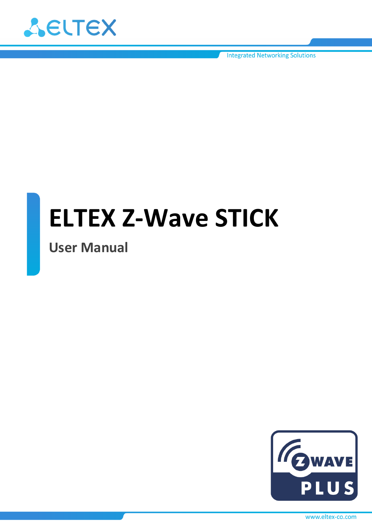

**Integrated Networking Solutions** 

# **ELTEX Z-Wave STICK**

**User Manual** 



www.eltex-co.com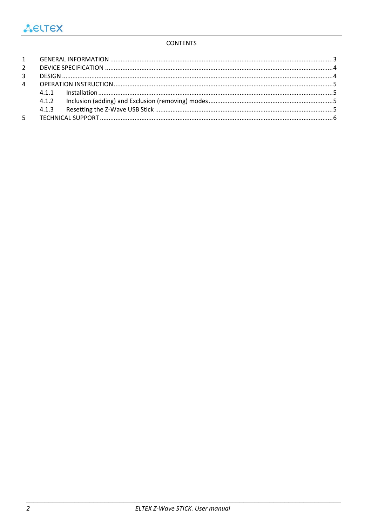### **CONTENTS**

| 3 <sup>7</sup> |  |  |  |
|----------------|--|--|--|
| $\overline{4}$ |  |  |  |
|                |  |  |  |
|                |  |  |  |
|                |  |  |  |
|                |  |  |  |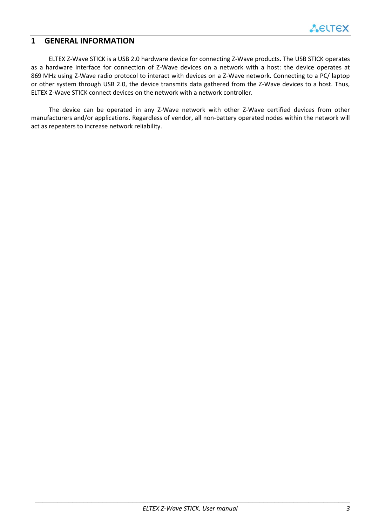## <span id="page-2-0"></span>**1 GENERAL INFORMATION**

ELTEX Z-Wave STICK is a USB 2.0 hardware device for connecting Z-Wave products. The USB STICK operates as a hardware interface for connection of Z-Wave devices on a network with a host: the device operates at 869 MHz using Z-Wave radio protocol to interact with devices on a Z-Wave network. Connecting to a PC/ laptop or other system through USB 2.0, the device transmits data gathered from the Z-Wave devices to a host. Thus, ELTEX Z-Wave STICK connect devices on the network with a network controller.

The device can be operated in any Z-Wave network with other Z-Wave certified devices from other manufacturers and/or applications. Regardless of vendor, all non‐battery operated nodes within the network will act as repeaters to increase network reliability.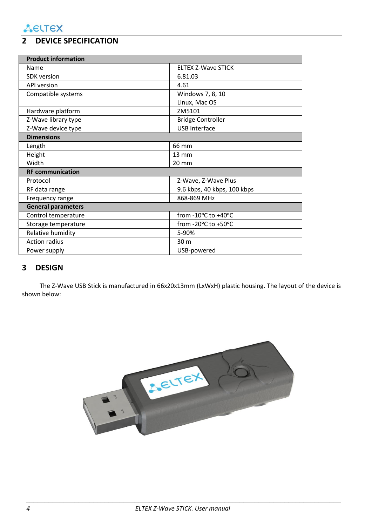# <span id="page-3-0"></span>**2 DEVICE SPECIFICATION**

| <b>Product information</b> |                             |  |  |  |
|----------------------------|-----------------------------|--|--|--|
| Name                       | <b>ELTEX Z-Wave STICK</b>   |  |  |  |
| <b>SDK</b> version         | 6.81.03                     |  |  |  |
| <b>API version</b>         | 4.61                        |  |  |  |
| Compatible systems         | Windows 7, 8, 10            |  |  |  |
|                            | Linux, Mac OS               |  |  |  |
| Hardware platform          | ZM5101                      |  |  |  |
| Z-Wave library type        | <b>Bridge Controller</b>    |  |  |  |
| Z-Wave device type         | <b>USB Interface</b>        |  |  |  |
| <b>Dimensions</b>          |                             |  |  |  |
| Length                     | 66 mm                       |  |  |  |
| Height                     | 13 mm                       |  |  |  |
| Width                      | 20 mm                       |  |  |  |
| <b>RF</b> communication    |                             |  |  |  |
| Protocol                   | Z-Wave, Z-Wave Plus         |  |  |  |
| RF data range              | 9.6 kbps, 40 kbps, 100 kbps |  |  |  |
| Frequency range            | 868-869 MHz                 |  |  |  |
| <b>General parameters</b>  |                             |  |  |  |
| Control temperature        | from -10°C to +40°C         |  |  |  |
| Storage temperature        | from -20°C to +50°C         |  |  |  |
| Relative humidity          | 5-90%                       |  |  |  |
| <b>Action radius</b>       | 30 m                        |  |  |  |
| Power supply               | USB-powered                 |  |  |  |

# <span id="page-3-1"></span>**3 DESIGN**

The Z-Wave USB Stick is manufactured in 66x20x13mm (LxWxH) plastic housing. The layout of the device is shown below:

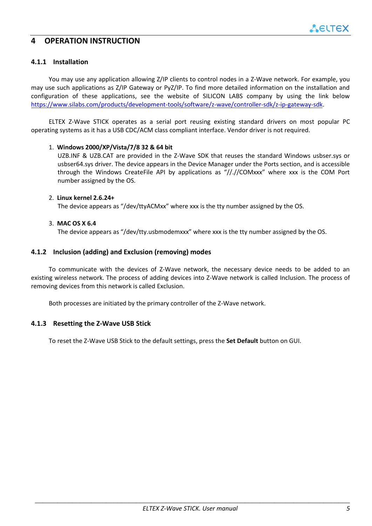## <span id="page-4-0"></span>**4 OPERATION INSTRUCTION**

#### <span id="page-4-1"></span>**4.1.1 Installation**

You may use any application allowing Z/IP clients to control nodes in a Z-Wave network. For example, you may use such applications as Z/IP Gateway or PyZ/IP. To find more detailed information on the installation and configuration of these applications, see the website of SILICON LABS company by using the link below [https://www.silabs.com/products/development-tools/software/z-wave/controller-sdk/z-ip-gateway-sdk.](https://www.silabs.com/products/development-tools/software/z-wave/controller-sdk/z-ip-gateway-sdk)

ELTEX Z-Wave STICK operates as a serial port reusing existing standard drivers on most popular PC operating systems as it has a USB CDC/ACM class compliant interface. Vendor driver is not required.

#### 1. **Windows 2000/XP/Vista/7/8 32 & 64 bit**

UZB.INF & UZB.CAT are provided in the Z-Wave SDK that reuses the standard Windows usbser.sys or usbser64.sys driver. The device appears in the Device Manager under the Ports section, and is accessible through the Windows CreateFile API by applications as "//.//COMxxx" where xxx is the COM Port number assigned by the OS.

#### 2. **Linux kernel 2.6.24+**

The device appears as "/dev/ttyACMxx" where xxx is the tty number assigned by the OS.

#### 3. **MAC OS X 6.4**

The device appears as "/dev/tty.usbmodemxxx" where xxx is the tty number assigned by the OS.

#### <span id="page-4-2"></span>**4.1.2 Inclusion (adding) and Exclusion (removing) modes**

To communicate with the devices of Z-Wave network, the necessary device needs to be added to an existing wireless network. The process of adding devices into Z-Wave network is called Inclusion. The process of removing devices from this network is called Exclusion.

Both processes are initiated by the primary controller of the Z-Wave network.

#### <span id="page-4-3"></span>**4.1.3 Resetting the Z-Wave USB Stick**

To reset the Z-Wave USB Stick to the default settings, press the **Set Default** button on GUI.